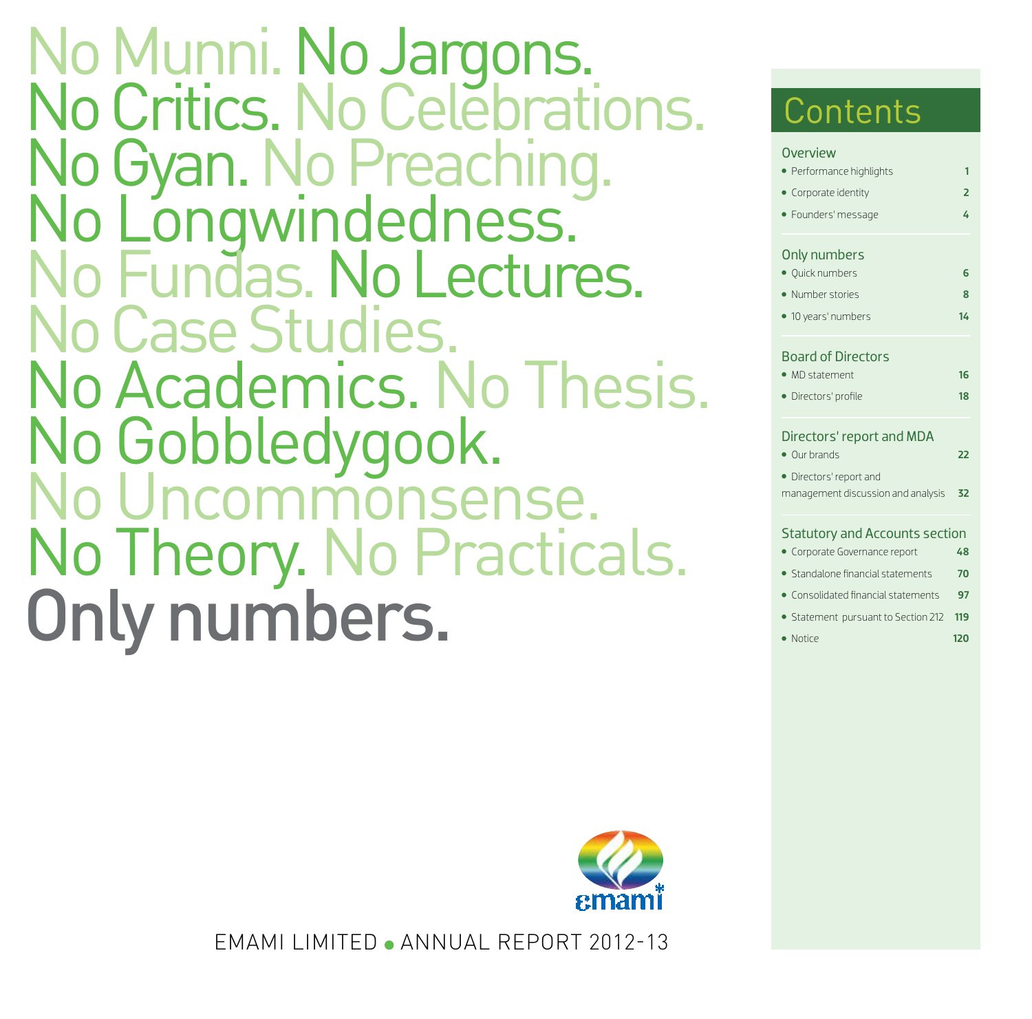Only numbers. No Munni. No Jargons.<br>No Critics. No Celebrations. No Gyan. No Preaching.<br>No Longwindedness. No Fundas. No Lectures.<br>No Case Studies. No Academics. No Thesis. No Gobbledygook.<br>No Uncommonsense. No Theory. No Practicals.



EMAMI LIMITED ANNUAL REPORT 2012-13

# **Contents**

| <b>Overview</b>                                |                |
|------------------------------------------------|----------------|
| Performance highlights                         | 1              |
| • Corporate identity                           | $\overline{2}$ |
| · Founders' message                            | 4              |
| Only numbers                                   |                |
| · Quick numbers                                | 6              |
| · Number stories                               | 8              |
| 10 years' numbers                              | 14             |
| <b>Board of Directors</b>                      |                |
| • MD statement                                 | 16             |
| Directors' profile                             | 18             |
| Directors' report and MDA<br>• Our brands      | 22             |
| Directors' report and                          |                |
| management discussion and analysis             | 32             |
| <b>Statutory and Accounts section</b>          |                |
| Corporate Governance report                    | 48             |
| • Standalone financial statements              | 70             |
| Consolidated financial statements<br>$\bullet$ | 97             |
| • Statement pursuant to Section 212            | 119            |
| $\bullet$ Notice                               | 120            |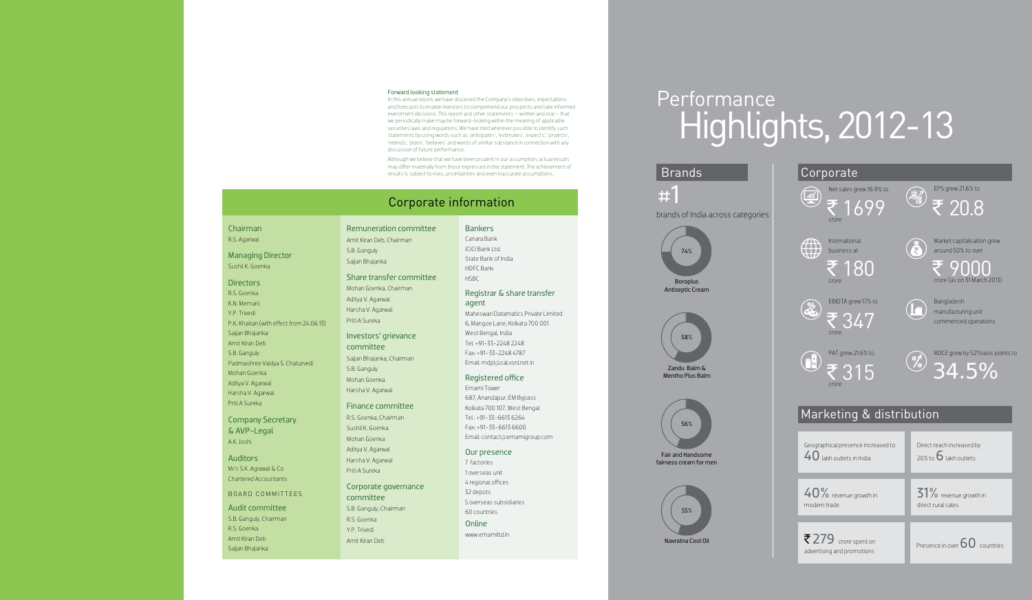### Forward looking statement

In this annual report, we have disclosed the Company's objectives, expectations and forecasts to enable investors to comprehend our prospects and take informed investment decisions. This report and other statements – written and oral – that we periodically make may be forward-looking within the meaning of applicable securities laws and regulations. We have tried wherever possible to identify such statements by using words such as 'anticipates', 'estimates', 'expects', 'projects', 'intends', 'plans', 'believes' and words of similar substance in connection with any discussion of future performance.

**Auditors** M/s S.K. Agrawal & Co *Chartered Accountants*

Although we believe that we have been prudent in our assumption, actual results may differ materially from those expressed in the statement. The achievement of results is subject to risks, uncertainties and even inaccurate assumptions.

Chairman R.S. Agarwal

Managing Director Sushil K. Goenka

### **Directors**

R.S. Goenka K.N. Memani Y.P. Trivedi P.K. Khaitan (with effect from 24.06.13) Sajjan Bhajanka Amit Kiran Deb S.B. Ganguly *Padmashree* Vaidya S. Chaturvedi Mohan Goenka Aditya V. Agarwal Harsha V. Agarwal Priti A Sureka

> 7 factories 1 overseas unit 4 regional offices 32 depots 5 overseas subsidiaries 60 countries **Online**

Company Secretary & AVP-Legal A.K. Joshi

### BOARD COMMITTEES

Audit committee S.B. Ganguly, *Chairman* R.S. Goenka Amit Kiran Deb Sajjan Bhajanka

### Remuneration committee

EBIDTA grew 17% to ₹347

Amit Kiran Deb, *Chairman*  S.B. Ganguly Sajjan Bhajanka

EPS grew 21.6% to ₹ 20.8



### Share transfer committee

Mohan Goenka, *Chairman* Aditya V. Agarwal Harsha V. Agarwal Priti A Sureka

### Investors' grievance

committee Sajjan Bhajanka, *Chairman* S.B. Ganguly Mohan Goenka Harsha V. Agarwal

### Finance committee

R.S. Goenka, *Chairman* Sushil K. Goenka Mohan Goenka Aditya V. Agarwal Harsha V. Agarwal Priti A Sureka

### Corporate governance

committee S.B. Ganguly, *Chairman*  R.S. Goenka Y.P. Trivedi Amit Kiran Deb

### **Bankers**

Canara Bank ICICI Bank Ltd. State Bank of India HDFC Bank HSBC

### Registrar & share transfer agent

Maheswari Datamatics Private Limited 6, Mangoe Lane, Kolkata 700 001 West Bengal, India Tel: +91-33-2248 2248 Fax: +91-33-2248 4787 Email: mdpl@cal.vsnl.net.in

### Registered office

Emami Tower 687, Anandapur, EM Bypass Kolkata 700 107, West Bengal Tel : +91-33-6613 6264 Fax: +91-33-6613 6600 Email: contact@emamigroup.com

### Our presence

www.emamiltd.in

### Corporate information

# Performance Highlights, 2012-13







International business at





PAT grew 21.6% to



crore

| Geographical presence increased to<br>$40$ lakh outlets in India | Direct reach increased by<br>20% to $6$ lakh outlets |  |  |  |  |
|------------------------------------------------------------------|------------------------------------------------------|--|--|--|--|
|                                                                  |                                                      |  |  |  |  |
| $40\%$ revenue growth in<br>modern trade                         | $31\%$ revenue growth in<br>direct rural sales       |  |  |  |  |
|                                                                  |                                                      |  |  |  |  |
| $7279$ crore spent on<br>advertising and promotions              | Presence in over $60$ countries                      |  |  |  |  |

Bangladesh manufacturing unit commenced operations

Market capitalisation grew around 50% to over

 $\sum_{\text{core (as on 31 March 2013)}}$ 

ROCE grew by 521 basis points to 34.5%

### *#*1



### Brands **Corporate**





fairness cream for men

brands of India across categories



Zandu Balm & Mentho Plus Balm

### Marketing & distribution

15

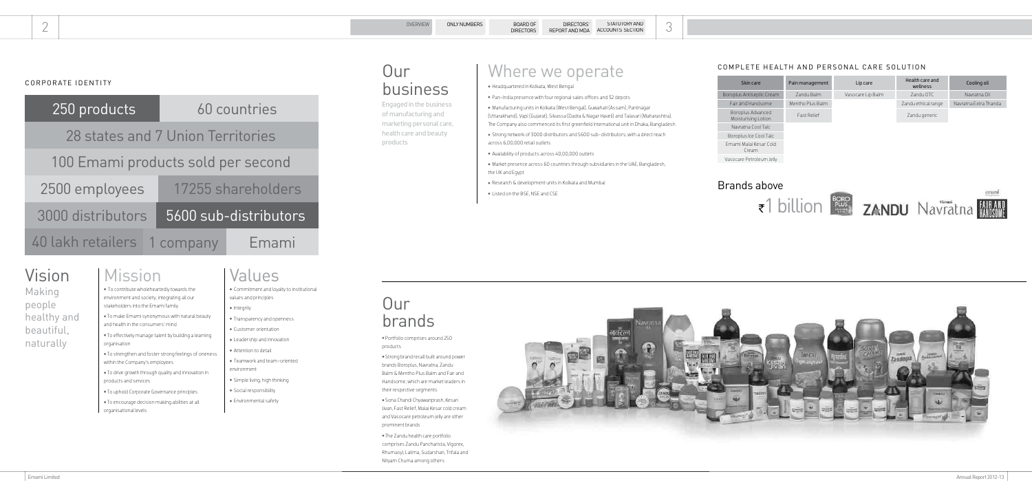| 250 products                       |  | 60 countries          |       |  |  |  |
|------------------------------------|--|-----------------------|-------|--|--|--|
| 28 states and 7 Union Territories  |  |                       |       |  |  |  |
| 100 Emami products sold per second |  |                       |       |  |  |  |
| 2500 employees                     |  | 17255 shareholders    |       |  |  |  |
| 3000 distributors                  |  | 5600 sub-distributors |       |  |  |  |
| 40 lakh retailers 1 company        |  |                       | Emami |  |  |  |

### CORPORATE IDENTITY

# Vision

Making people healthy and beautiful, naturally

### Mission

 To contribute wholeheartedly towards the environment and society, integrating all our stakeholders into the Emami family

- Integrity
- **•** Transparency and openness
- Customer orientation
- Leadership and innovation
- Attention to detail
- Teamwork and team-oriented environment
- Simple living, high thinking
- Social responsibility
- Environmental safety

# **Our** brands

- To make Emami synonymous with natural beauty and health in the consumers' mind
- To effectively manage talent by building a learning organisation
- To strengthen and foster strong feelings of oneness within the Company's employees
- To drive growth through quality and innovation in products and services
- To uphold Corporate Governance principles
- To encourage decision making abilities at all organisational levels

# **Our** business

### Values

 Commitment and loyalty to institutional values and principles

 Manufacturing units in Kolkata (West Bengal), Guwahati (Assam), Pantnagar (Uttarakhand), Vapi (Gujarat), Silvassa (Dadra & Nagar Haveli) and Talasari (Maharashtra). The Company also commenced its first greenfield international unit in Dhaka, Bangladesh

- Portfolio comprises around 250 products
- Strong brand recall built around power brands Boroplus, Navratna, Zandu Balm & Mentho Plus Balm and Fair and Handsome, which are market leaders in their respective segments
- Sona Chandi Chyawanprash, Kesari Jivan, Fast Relief, Malai Kesar cold cream and Vasocare petroleum jelly are other prominent brands
- e Zandu health care portfolio comprises Zandu Pancharista, Vigorex, Rhumasyl, Lalima, Sudarshan, Trifala and Nityam Churna among others



Engaged in the business of manufacturing and marketing personal care, health care and beauty products

Headquartered in Kolkata, West Bengal

Pan-India presence with four regional sales offices and 32 depots

Strong network of 3000 distributors and 5600 sub-distributors, with a direct reach

Availability of products across 40,00,000 outlets

Market presence across 60 countries through subsidiaries in the UAE, Bangladesh,

- 
- 
- across 6,00,000 retail outlets
- 
- the UK and Egypt
- 
- Listed on the BSE, NSE and CSE

Research & development units in Kolkata and Mumbai

### COMPLETE HEALTH AND PERSONAL CARE SOLUTION

| Skin care                                | Pain management   | Health care and<br>Lip care<br>wellness |                     | Cooling oil           |  |
|------------------------------------------|-------------------|-----------------------------------------|---------------------|-----------------------|--|
| Boroplus Antiseptic Cream                | <b>Zandu Balm</b> | Vasocare Lip Balm                       | Zandu OTC           | Navratna Oil          |  |
| Fair and Handsome                        | Mentho Plus Balm  |                                         | Zandu ethical range | Navratna Extra Thanda |  |
| Boroplus Advanced<br>Moisturising Lotion | Fast Relief       |                                         | Zandu generic       |                       |  |
| Navratna Cool Talc                       |                   |                                         |                     |                       |  |
| Boroplus Ice Cool Talc                   |                   |                                         |                     |                       |  |
| Emami Malai Kesar Cold<br>Cream          |                   |                                         |                     |                       |  |
| Vasocare Petroleum Jelly                 |                   |                                         |                     |                       |  |

### Brands above







### Where we operate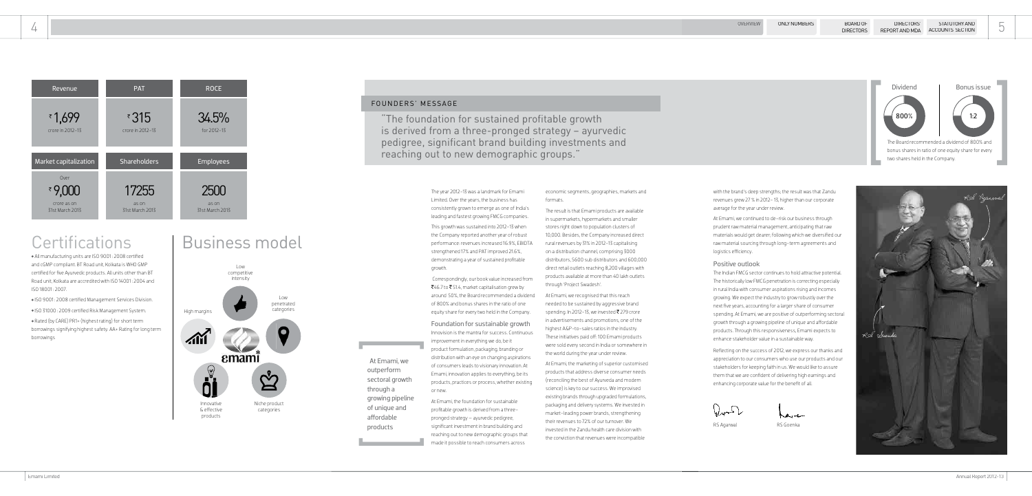All manufacturing units are ISO 9001 : 2008 certified and cGMP compliant. BT Road unit, Kolkata is WHO GMP certified for five Ayurvedic products. All units other than BT Road unit, Kolkata are accredited with ISO 14001 : 2004 and ISO 18001 : 2007.

- ISO 9001 : 2008 certified Management Services Division.
- ISO 31000 : 2009 certified Risk Management System.

Rated (by CARE) PR1+ (highest rating) for short term borrowings signifying highest safety. AA+ Rating for long term borrowings





# **Certifications**

"The foundation for sustained profitable growth is derived from a three-pronged strategy – ayurvedic pedigree, significant brand building investments and reaching out to new demographic groups."

> The Indian FMCG sector continues to hold attractive potential. The historically low FMCG penetration is correcting especially in rural India with consumer aspirations rising and incomes growing. We expect the industry to grow robustly over the next five years, accounting for a larger share of consumer spending. At Emami, we are positive of outperforming sectoral growth through a growing pipeline of unique and affordable products. Through this responsiveness, Emami expects to enhance stakeholder value in a sustainable way.

with the brand's deep strengths; the result was that Zandu revenues grew 27 % in 2012- 13, higher than our corporate average for the year under review.

At Emami, we continued to de-risk our business through prudent raw material management, anticipating that raw materials would get dearer; following which we diversified our raw material sourcing through long-term agreements and logistics efficiency.

### Positive outlook

The year 2012-13 was a landmark for Emami Limited. Over the years, the business has consistently grown to emerge as one of India's leading and fastest growing FMCG companies.

This growth was sustained into 2012-13 when the Company reported another year of robust performance: revenues increased 16.9%, EBIDTA strengthened 17% and PAT improved 21.6%, demonstrating a year of sustained profitable growth.

> Reflecting on the success of 2012, we express our thanks and appreciation to our consumers who use our products and our stakeholders for keeping faith in us. We would like to assure them that we are confident of delivering high earnings and enhancing corporate value for the benefit of all.





The result is that Emami products are available in supermarkets, hypermarkets and smaller stores right down to population clusters of 10,000. Besides, the Company increased direct rural revenues by 31% in 2012-13 capitalising on a distribution channel, comprising 3000 distributors, 5600 sub distributors and 600,000 direct retail outlets reaching 8,200 villages with products available at more than 40 lakh outlets

 At Emami, we outperform sectoral growth

through a

growing pipeline of unique and affordable products



# Business model



### FOUNDERS' MESSAGE

 Correspondingly, our book value increased from ₹46.7 to ₹51.4, market capitalisation grew by around 50%, the Board recommended a dividend of 800% and bonus shares in the ratio of one equity share for every two held in the Company.

### Foundation for sustainable growth

Innovision is the mantra for success. Continuous improvement in everything we do, be it product formulation, packaging, branding or distribution with an eye on changing aspirations of consumers leads to visionary innovation. At Emami, innovation applies to everything, be its products, practices or process, whether existing or new.

At Emami, the foundation for sustainable profitable growth is derived from a threepronged strategy – ayurvedic pedigree, significant investment in brand building and reaching out to new demographic groups that made it possible to reach consumers across

economic segments, geographies, markets and formats.

through 'Project Swadesh'.

At Emami, we recognised that this reach needed to be sustained by aggressive brand spending. In 2012-13, we invested  $\bar{\tau}$  279 crore in advertisements and promotions, one of the highest A&P-to-sales ratios in the industry. These initiatives paid off: 100 Emami products were sold every second in India or somewhere in the world during the year under review.

At Emami, the marketing of superior customised products that address diverse consumer needs (reconciling the best of Ayurveda and modern science) is key to our success. We improvised existing brands through upgraded formulations, packaging and delivery systems. We invested in market-leading power brands, strengthening their revenues to 72% of our turnover. We invested in the Zandu health care division with the conviction that revenues were incompatible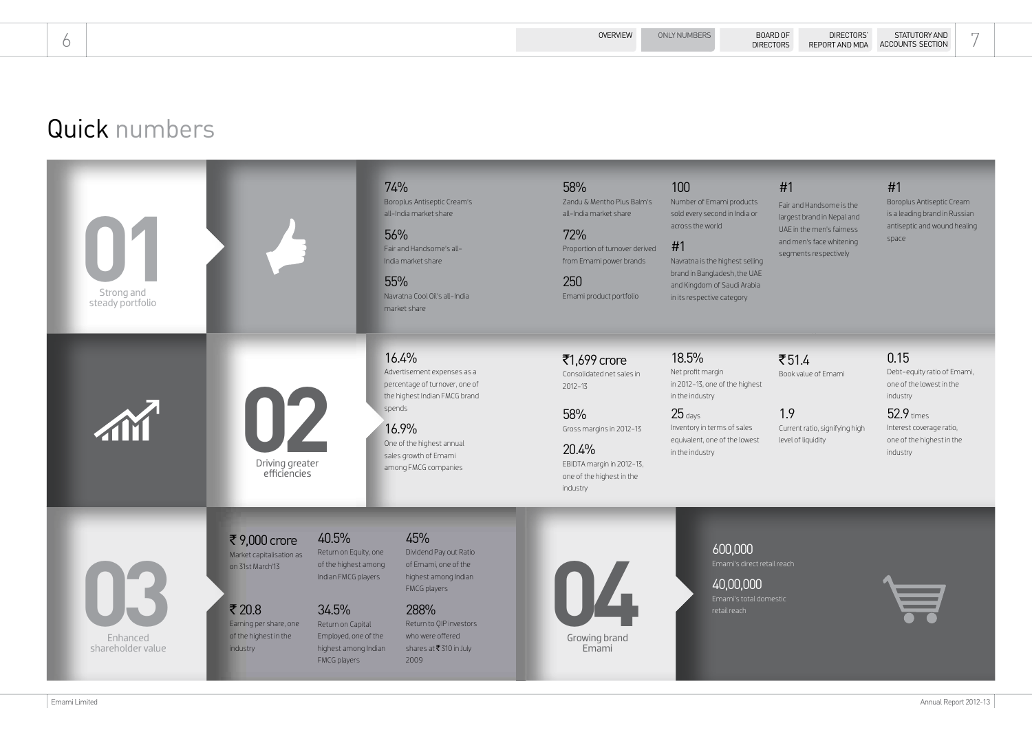# Quick numbers

### #1

Fair and Handsome is the largest brand in Nepal and UAE in the men's fairness and men's face whitening segments respectively

### #1

### $7514$ Book value of Emami

Boroplus Antiseptic Cream is a leading brand in Russian antiseptic and wound healing space



1.9 Current ratio, signifying high level of liquidity

### 0.15

Debt-equity ratio of Emami, one of the lowest in the industry

### 52.9 times Interest coverage ratio, one of the highest in the industry

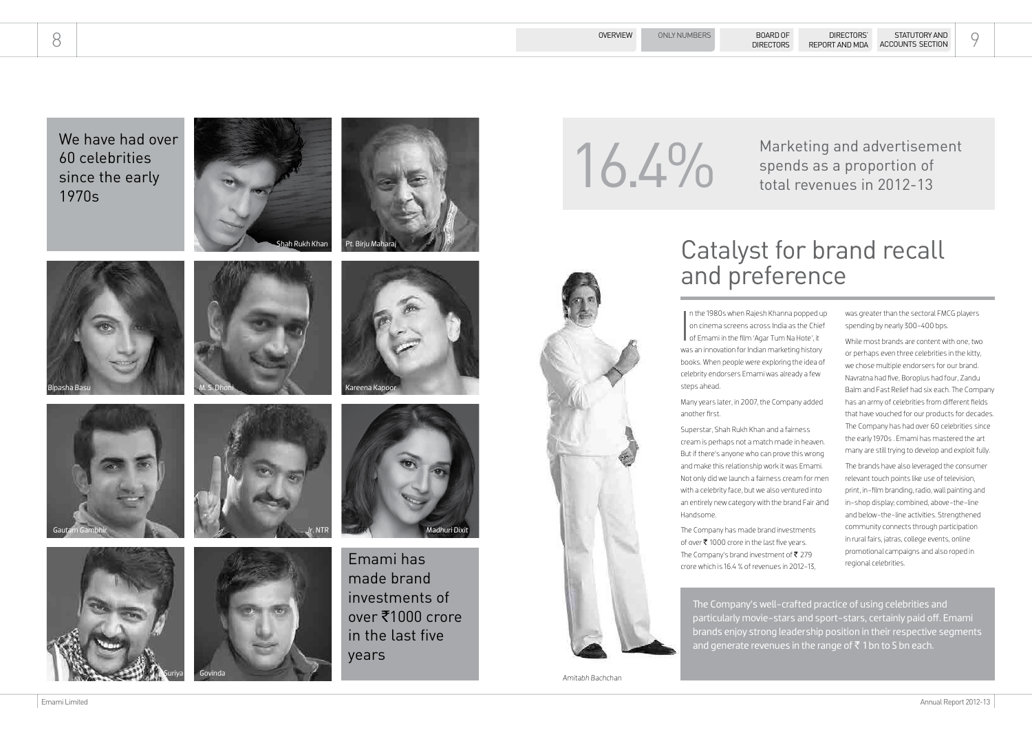$\overline{\mathbf{I}}$ n the 1980s when Rajesh Khanna popped up on cinema screens across India as the Chief of Emami in the film 'Agar Tum Na Hote', it was an innovation for Indian marketing history books. When people were exploring the idea of celebrity endorsers Emami was already a few steps ahead.

Many years later, in 2007, the Company added another first.

The Company has made brand investments of over  $\bar{\tau}$  1000 crore in the last five years. The Company's brand investment of  $\bar{z}$  279 crore which is 16.4 % of revenues in 2012-13,

The Company's well-crafted practice of using celebrities and particularly movie-stars and sport-stars, certainly paid off. Emami brands enjoy strong leadership position in their respective segments and generate revenues in the range of  $\bar{z}$  1 bn to 5 bn each.

Superstar, Shah Rukh Khan and a fairness cream is perhaps not a match made in heaven. But if there's anyone who can prove this wrong and make this relationship work it was Emami. Not only did we launch a fairness cream for men with a celebrity face, but we also ventured into an entirely new category with the brand Fair and Handsome.

The brands have also leveraged the consumer relevant touch points like use of television, print, in-film branding, radio, wall painting and in-shop display; combined, above-the-line and below-the-line activities. Strengthened community connects through participation in rural fairs, *jatras*, college events, online promotional campaigns and also roped in regional celebrities.

was greater than the sectoral FMCG players spending by nearly 300-400 bps.

Marketing and advertisement<br>
16.4% Marketing and advertisement<br>
spends as a proportion of spends as a proportion of total revenues in 2012-13

> While most brands are content with one, two or perhaps even three celebrities in the kitty, we chose multiple endorsers for our brand. Navratna had five, Boroplus had four, Zandu Balm and Fast Relief had six each. The Company has an army of celebrities from different fields that have vouched for our products for decades. The Company has had over 60 celebrities since the early 1970s . Emami has mastered the art many are still trying to develop and exploit fully.

# Catalyst for brand recall







We have had over 60 celebrities since the early 1970s







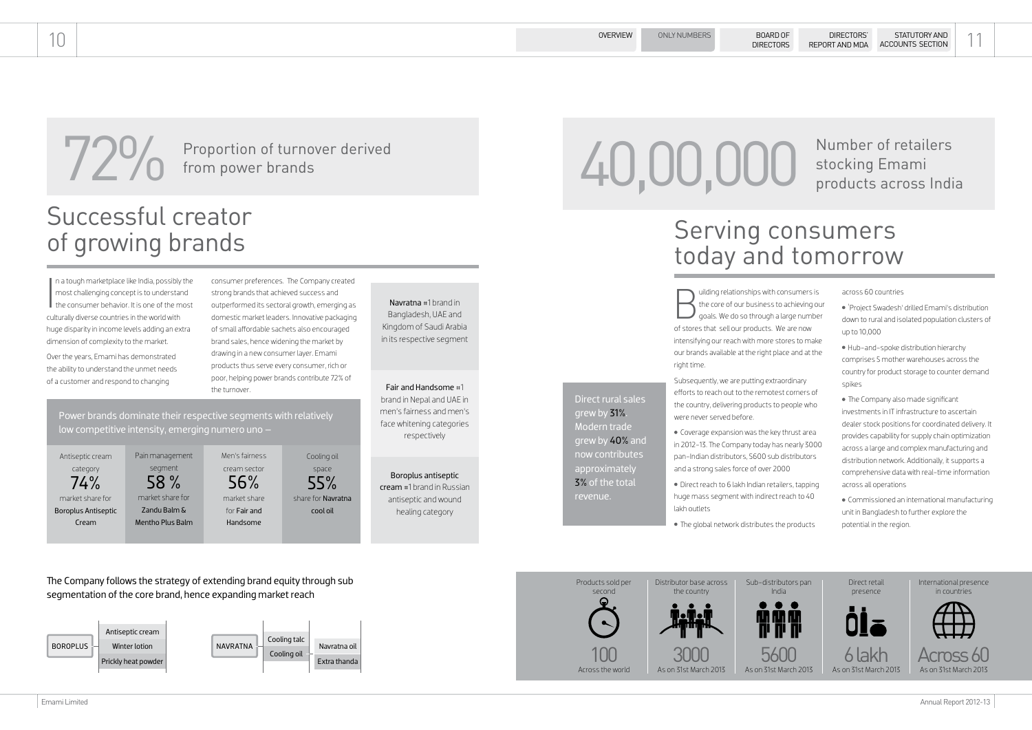uilding relationships with consumers is the core of our business to achieving our goals. We do so through a large number of stores that sell our products. We are now intensifying our reach with more stores to make our brands available at the right place and at the right time.

Subsequently, we are putting extraordinary efforts to reach out to the remotest corners of the country, delivering products to people who were never served before.

- Coverage expansion was the key thrust area in 2012-13. The Company today has nearly 3000 pan-Indian distributors, 5600 sub distributors and a strong sales force of over 2000
- Direct reach to 6 lakh Indian retailers, tapping huge mass segment with indirect reach to 40 lakh outlets
- e global network distributes the products

across 60 countries

**720** Proportion of turnover derived<br>from power brands from power brands

The Company follows the strategy of extending brand equity through sub segmentation of the core brand, hence expanding market reach

- 'Project Swadesh' drilled Emami's distribution down to rural and isolated population clusters of up to 10,000
- Hub-and-spoke distribution hierarchy comprises 5 mother warehouses across the country for product storage to counter demand spikes
- e Company also made significant investments in IT infrastructure to ascertain dealer stock positions for coordinated delivery. It provides capability for supply chain optimization across a large and complex manufacturing and distribution network. Additionally, it supports a comprehensive data with real-time information across all operations
- Commissioned an international manufacturing unit in Bangladesh to further explore the potential in the region.

 $\begin{array}{c} \n\end{array}$ n a tough marketplace like India, possibly the most challenging concept is to understand the consumer behavior. It is one of the most culturally diverse countries in the world with huge disparity in income levels adding an extra dimension of complexity to the market.

## stocking Emami products across India

consumer preferences. The Company created strong brands that achieved success and outperformed its sectoral growth, emerging as domestic market leaders. Innovative packaging of small affordable sachets also encouraged brand sales, hence widening the market by drawing in a new consumer layer. Emami products thus serve every consumer, rich or poor, helping power brands contribute 72% of the turnover.

# Serving consumers today and tomorrow











International presence in countries

# Successful creator of growing brands





Direct rural sales

grew by 31%. Modern trade grew by 40% and now contributes approximately 3% of the total

revenue.

Over the years, Emami has demonstrated the ability to understand the unmet needs of a customer and respond to changing

> Power brands dominate their respective segments with relatively low competitive intensity, emerging numero uno –

Navratna #1 brand in Bangladesh, UAE and Kingdom of Saudi Arabia in its respective segment

Fair and Handsome #1

brand in Nepal and UAE in men's fairness and men's face whitening categories respectively

Boroplus antiseptic cream #1 brand in Russian antiseptic and wound

healing category

# 40,00,000 Number of retailers<br>products across Indi

Antiseptic cream category 74% market share for Boroplus Antiseptic Cream

Pain management

segment 58 % market share for Zandu Balm & Mentho Plus Balm

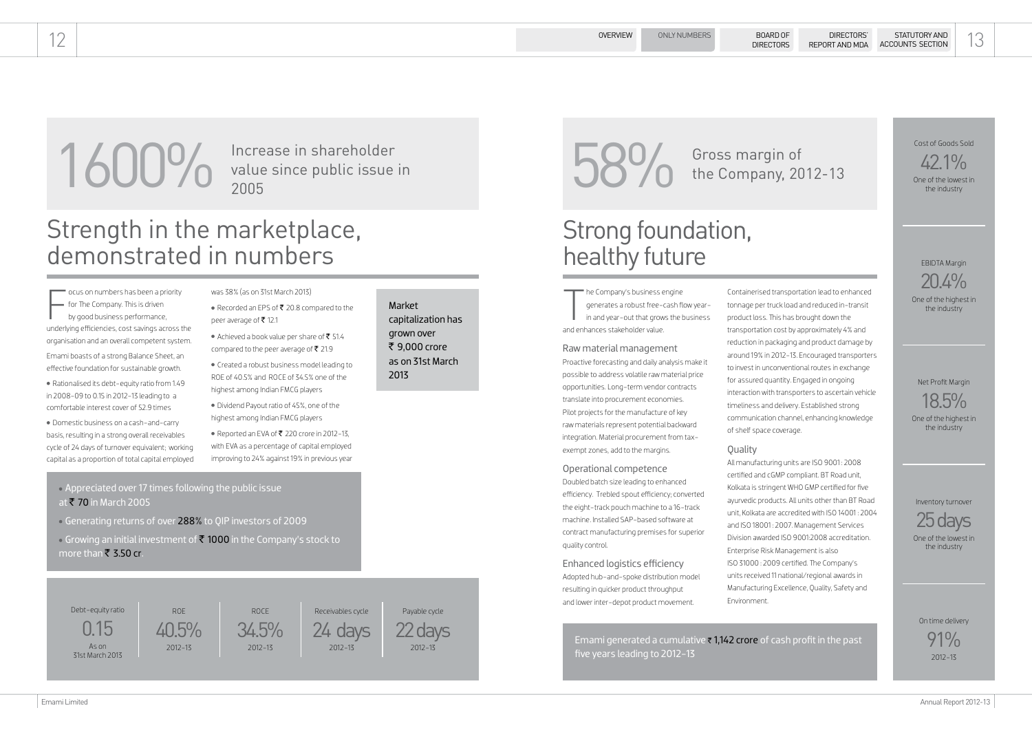he Company's business engine

The Company's business experiences a robust free-<br>in and year-out that grow<br>and enhances stakeholder value. generates a robust free-cash flow yearin and year-out that grows the business

### Raw material management

Proactive forecasting and daily analysis make it possible to address volatile raw material price opportunities. Long-term vendor contracts translate into procurement economies. Pilot projects for the manufacture of key raw materials represent potential backward integration. Material procurement from taxexempt zones, add to the margins.

Operational competence Doubled batch size leading to enhanced efficiency. Trebled spout efficiency; converted the eight-track pouch machine to a 16-track machine. Installed SAP-based software at contract manufacturing premises for superior quality control.

Enhanced logistics efficiency Adopted hub-and-spoke distribution model resulting in quicker product throughput and lower inter-depot product movement.

1600% Increase in shareholder<br>
2005 Service public issue in<br>
2006 Service Development, 20 the Company, 2012-13

> Containerised transportation lead to enhanced tonnage per truck load and reduced in-transit product loss. This has brought down the transportation cost by approximately 4% and reduction in packaging and product damage by around 19% in 2012-13. Encouraged transporters to invest in unconventional routes in exchange for assured quantity. Engaged in ongoing interaction with transporters to ascertain vehicle timeliness and delivery. Established strong communication channel, enhancing knowledge of shelf space coverage.

### **Quality**

 $42.1\%$ One of the lowest in the industry

 $\sqrt{\frac{1}{2}}$ ocus on numbers has been a priority - for The Company. This is driven by good business performance, underlying efficiencies, cost savings across the organisation and an overall competent system.

- was 38% (as on 31st March 2013)
- Recorded an EPS of  $\bar{\tau}$  20.8 compared to the peer average of  $\bar{\tau}$  12.1
- Achieved a book value per share of  $\bar{\tau}$  51.4 compared to the peer average of  $\bar{\tau}$  21.9

All manufacturing units are ISO 9001 : 2008 certified and cGMP compliant. BT Road unit, Kolkata is stringent WHO GMP certified for five ayurvedic products. All units other than BT Road unit, Kolkata are accredited with ISO 14001 : 2004 and ISO 18001 : 2007. Management Services Division awarded ISO 9001:2008 accreditation. Enterprise Risk Management is also ISO 31000 : 2009 certified. The Company's units received 11 national/regional awards in Manufacturing Excellence, Quality, Safety and Environment.

- Dividend Payout ratio of 45%, one of the highest among Indian FMCG players
- $\bullet$  Reported an EVA of ₹ 220 crore in 2012-13, with EVA as a percentage of capital employed improving to 24% against 19% in previous year
- Appreciated over 17 times following the public issue at  $\bar{\tau}$  70 in March 2005
- Generating returns of over 288% to QIP investors of 2009
- Growing an initial investment of  $\bar{\bar{\mathbf{z}}}$  1000 in the Company's stock to more than  $\bar{\bar{\mathbf{z}}}$  3.50 cr.

value since public issue in 2005

> Emami generated a cumulative  $\overline{\tau}$  1,142 crore of cash profit in the past five years leading to 2012-13

### Strong foundation, healthy future

### OVERVIEW ONLY NUMBERS BOARD OF DIRECTORS' STATUTORY AND 13 STATUTORY AND ACCOUNTS SECTION

### Strength in the marketplace, demonstrated in numbers

### Debt-equity ratio

0.15 As on 31st March 2013 40.5% ROE 2012-13

24 days Receivables cycle 2012-13

22 days Payable cycle 2012-13



Cost of Goods Sold

EBIDTA Margin

20.4% One of the highest in the industry

Net Profit Margin

18.5% One of the highest in the industry



Inventory turnover

One of the lowest in the industry

On time delivery

91% 2012-13

Emami boasts of a strong Balance Sheet, an effective foundation for sustainable growth.

 Rationalised its debt-equity ratio from 1.49 in 2008-09 to 0.15 in 2012-13 leading to a comfortable interest cover of 52.9 times

 Domestic business on a cash-and-carry basis, resulting in a strong overall receivables cycle of 24 days of turnover equivalent; working capital as a proportion of total capital employed  Created a robust business model leading to ROE of 40.5% and ROCE of 34.5% one of the highest among Indian FMCG players

Market capitalization has grown over ₹ 9.000 crore as on 31st March 2013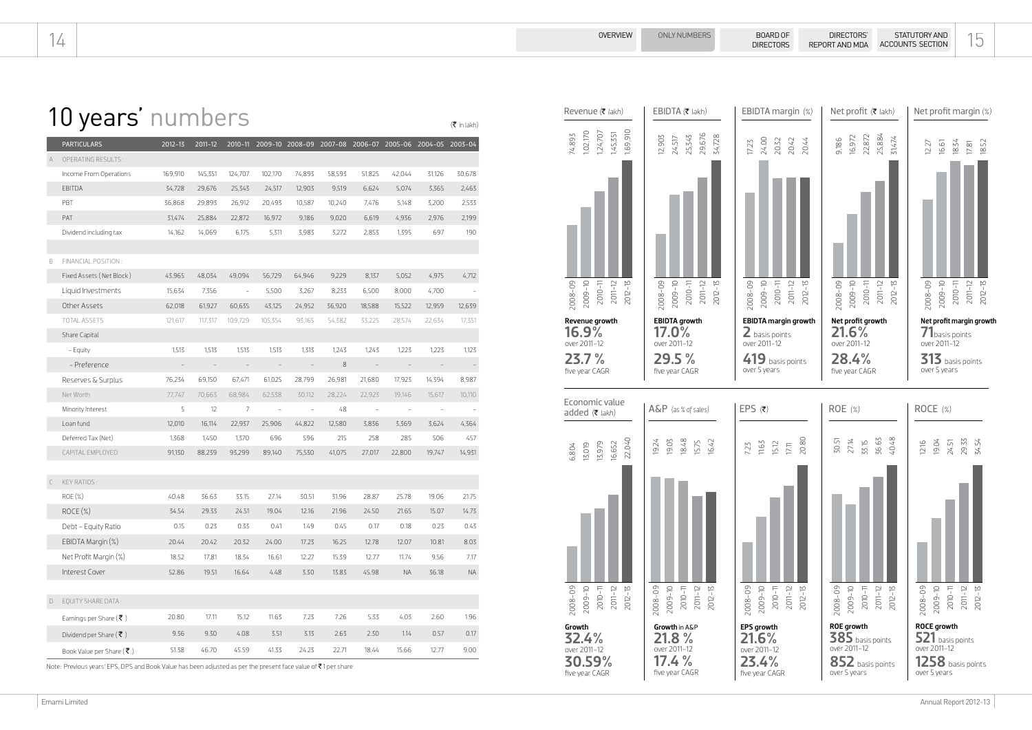|        | <b>PARTICULARS</b>                    | $2012 - 13$ | 2011-12 |                          |                          | 2010-11 2009-10 2008-09 2007-08 2006-07 2005-06 2004-05 2003-04 |        |                          |                          |                          |          |
|--------|---------------------------------------|-------------|---------|--------------------------|--------------------------|-----------------------------------------------------------------|--------|--------------------------|--------------------------|--------------------------|----------|
| A      | OPERATING RESULTS:                    |             |         |                          |                          |                                                                 |        |                          |                          |                          |          |
|        | Income From Operations                | 169,910     | 145,351 | 124,707                  | 102,170                  | 74,893                                                          | 58,593 | 51,825                   | 42,044                   | 31,126                   | 30,678   |
|        | <b>EBITDA</b>                         | 34,728      | 29,676  | 25,343                   | 24,517                   | 12,903                                                          | 9,519  | 6,624                    | 5,074                    | 3,365                    | 2,463    |
|        | PBT                                   | 36,868      | 29,893  | 26,912                   | 20,493                   | 10,587                                                          | 10,240 | 7,476                    | 5,148                    | 3,200                    | 2,533    |
|        | PAT                                   | 31,474      | 25,884  | 22,872                   | 16,972                   | 9,186                                                           | 9,020  | 6,619                    | 4,936                    | 2,976                    | 2,199    |
|        | Dividend including tax                | 14,162      | 14,069  | 6,175                    | 5,311                    | 3,983                                                           | 3,272  | 2,853                    | 1,395                    | 697                      | 190      |
|        |                                       |             |         |                          |                          |                                                                 |        |                          |                          |                          |          |
| B      | FINANCIAL POSITION:                   |             |         |                          |                          |                                                                 |        |                          |                          |                          |          |
|        | Fixed Assets (Net Block)              | 43,965      | 48,034  | 49,094                   | 56,729                   | 64,946                                                          | 9,229  | 8,137                    | 5,052                    | 4,975                    | 4,712    |
|        | Liquid Investments                    | 15,634      | 7,356   | $\overline{\phantom{a}}$ | 5,500                    | 3,267                                                           | 8,233  | 6,500                    | 8,000                    | 4,700                    |          |
|        | Other Assets                          | 62,018      | 61,927  | 60,635                   | 43,125                   | 24,952                                                          | 36,920 | 18,588                   | 15,522                   | 12,959                   | 12,639   |
|        | TOTAL ASSETS                          | 121,617     | 117.317 | 109.729                  | 105,354                  | 93,165                                                          | 54,382 | 33,225                   | 28.574                   | 22,634                   | 17,351   |
|        | Share Capital                         |             |         |                          |                          |                                                                 |        |                          |                          |                          |          |
|        | - Equity                              | 1,513       | 1,513   | 1,513                    | 1,513                    | 1,313                                                           | 1,243  | 1,243                    | 1,223                    | 1,223                    | 1,123    |
|        | - Preference                          |             |         |                          |                          |                                                                 | 8      | $\overline{\phantom{a}}$ |                          |                          |          |
|        | Reserves & Surplus                    | 76,234      | 69,150  | 67,471                   | 61,025                   | 28,799                                                          | 26,981 | 21,680                   | 17,923                   | 14,394                   | 8,987    |
|        | Net Worth                             | 77,747      | 70,663  | 68,984                   | 62,538                   | 30,112                                                          | 28,224 | 22,923                   | 19,146                   | 15,617                   | 10,110   |
|        | Minority Interest                     | 5           | 12      | 7                        | $\overline{\phantom{a}}$ | $\equiv$                                                        | 48     | $\equiv$                 | $\overline{\phantom{a}}$ | $\overline{\phantom{a}}$ |          |
|        | Loan fund                             | 12,010      | 16,114  | 22,937                   | 25,906                   | 44,822                                                          | 12,580 | 3,836                    | 3,369                    | 3,624                    | 4,364    |
|        | Deferred Tax (Net)                    | 1,368       | 1,450   | 1,370                    | 696                      | 596                                                             | 215    | 258                      | 285                      | 506                      | 457      |
|        | CAPITAL EMPLOYED                      | 91,130      | 88,239  | 93,299                   | 89,140                   | 75,530                                                          | 41,075 | 27,017                   | 22,800                   | 19,747                   | 14,931   |
|        |                                       |             |         |                          |                          |                                                                 |        |                          |                          |                          |          |
| C      | <b>KEY RATIOS:</b>                    |             |         |                          |                          |                                                                 |        |                          |                          |                          |          |
|        | <b>ROE</b> (%)                        | 40.48       | 36.63   | 33.15                    | 27.14                    | 30.51                                                           | 31.96  | 28.87                    | 25.78                    | 19.06                    | 21.75    |
|        | $ROCE(\%)$                            | 34.54       | 29.33   | 24.51                    | 19.04                    | 12.16                                                           | 21.96  | 24.50                    | 21.65                    | 15.07                    | 14.73    |
|        | Debt - Equity Ratio                   | 0.15        | 0.23    | 0.33                     | 0.41                     | 1.49                                                            | 0.45   | 0.17                     | 0.18                     | 0.23                     | 0.43     |
|        | EBIDTA Margin (%)                     | 20.44       | 20.42   | 20.32                    | 24.00                    | 17.23                                                           | 16.25  | 12.78                    | 12.07                    | 10.81                    | 8.03     |
|        | Net Profit Margin (%)                 | 18.52       | 17.81   | 18.34                    | 16.61                    | 12.27                                                           | 15.39  | 12.77                    | 11.74                    | 9.56                     | 7.17     |
|        | Interest Cover                        | 52.86       | 19.51   | 16.64                    | 4.48                     | 3.30                                                            | 13.83  | 45.98                    | <b>NA</b>                | 36.18                    | $\sf NA$ |
|        |                                       |             |         |                          |                          |                                                                 |        |                          |                          |                          |          |
| $\Box$ | EQUITY SHARE DATA:                    |             |         |                          |                          |                                                                 |        |                          |                          |                          |          |
|        | Earnings per Share ( $\bar{\tau}$ )   | 20.80       | 17.11   | 15.12                    | 11.63                    | 7.23                                                            | 7.26   | 5.33                     | 4.03                     | 2.60                     | 1.96     |
|        | Dividend per Share ( $\bar{\tau}$ )   | 9.36        | 9.30    | 4.08                     | 3.51                     | 3.13                                                            | 2.63   | 2.30                     | 1.14                     | 0.57                     | 0.17     |
|        | Book Value per Share ( $\bar{\tau}$ ) | 51.38       | 46.70   | 45.59                    | 41.33                    | 24.23                                                           | 22.71  | 18.44                    | 15.66                    | 12.77                    | 9.00     |

Note: Previous years' EPS, DPS and Book Value has been adjusted as per the present face value of ₹1 per share

### $14$  DIRECTORS REPORT AND DRECTORS REPORT AND  $15$ STATUTORY AND ACCOUNTS SECTION



Emami Limited Annual Report 2012-13

## 10 years' numbers

 $(\bar{\bar{\mathbf{\tau}}}$  in lakh)

### DIRECTORS' REPORT AND MDA